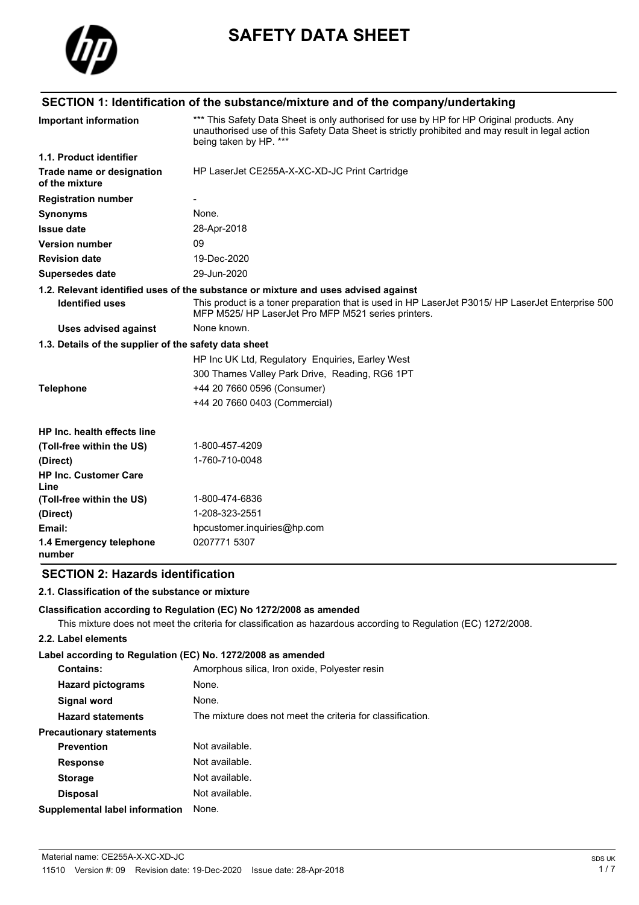

# **SAFETY DATA SHEET**

## **SECTION 1: Identification of the substance/mixture and of the company/undertaking**

| <b>Important information</b>                          | *** This Safety Data Sheet is only authorised for use by HP for HP Original products. Any<br>unauthorised use of this Safety Data Sheet is strictly prohibited and may result in legal action<br>being taken by HP. *** |
|-------------------------------------------------------|-------------------------------------------------------------------------------------------------------------------------------------------------------------------------------------------------------------------------|
| 1.1. Product identifier                               |                                                                                                                                                                                                                         |
| Trade name or designation<br>of the mixture           | HP LaserJet CE255A-X-XC-XD-JC Print Cartridge                                                                                                                                                                           |
| <b>Registration number</b>                            |                                                                                                                                                                                                                         |
| <b>Synonyms</b>                                       | None.                                                                                                                                                                                                                   |
| <b>Issue date</b>                                     | 28-Apr-2018                                                                                                                                                                                                             |
| <b>Version number</b>                                 | 09                                                                                                                                                                                                                      |
| <b>Revision date</b>                                  | 19-Dec-2020                                                                                                                                                                                                             |
| <b>Supersedes date</b>                                | 29-Jun-2020                                                                                                                                                                                                             |
|                                                       | 1.2. Relevant identified uses of the substance or mixture and uses advised against                                                                                                                                      |
| <b>Identified uses</b>                                | This product is a toner preparation that is used in HP LaserJet P3015/HP LaserJet Enterprise 500<br>MFP M525/HP LaserJet Pro MFP M521 series printers.                                                                  |
| <b>Uses advised against</b>                           | None known.                                                                                                                                                                                                             |
| 1.3. Details of the supplier of the safety data sheet |                                                                                                                                                                                                                         |
|                                                       | HP Inc UK Ltd, Regulatory Enguiries, Earley West                                                                                                                                                                        |
|                                                       | 300 Thames Valley Park Drive, Reading, RG6 1PT                                                                                                                                                                          |
| <b>Telephone</b>                                      | +44 20 7660 0596 (Consumer)                                                                                                                                                                                             |
|                                                       | +44 20 7660 0403 (Commercial)                                                                                                                                                                                           |
| HP Inc. health effects line                           |                                                                                                                                                                                                                         |
| (Toll-free within the US)                             | 1-800-457-4209                                                                                                                                                                                                          |
| (Direct)                                              | 1-760-710-0048                                                                                                                                                                                                          |
| <b>HP Inc. Customer Care</b><br>Line                  |                                                                                                                                                                                                                         |
| (Toll-free within the US)                             | 1-800-474-6836                                                                                                                                                                                                          |
| (Direct)                                              | 1-208-323-2551                                                                                                                                                                                                          |
| Email:                                                | hpcustomer.inquiries@hp.com                                                                                                                                                                                             |
| 1.4 Emergency telephone<br>number                     | 0207771 5307                                                                                                                                                                                                            |

## **SECTION 2: Hazards identification**

#### **2.1. Classification of the substance or mixture**

#### **Classification according to Regulation (EC) No 1272/2008 as amended**

This mixture does not meet the criteria for classification as hazardous according to Regulation (EC) 1272/2008.

## **2.2. Label elements**

## **Label according to Regulation (EC) No. 1272/2008 as amended**

| Contains:                       | Amorphous silica, Iron oxide, Polyester resin              |
|---------------------------------|------------------------------------------------------------|
| <b>Hazard pictograms</b>        | None.                                                      |
| Signal word                     | None.                                                      |
| <b>Hazard statements</b>        | The mixture does not meet the criteria for classification. |
| <b>Precautionary statements</b> |                                                            |
| <b>Prevention</b>               | Not available.                                             |
| <b>Response</b>                 | Not available.                                             |
| <b>Storage</b>                  | Not available.                                             |
| <b>Disposal</b>                 | Not available.                                             |
| Supplemental label information  | None.                                                      |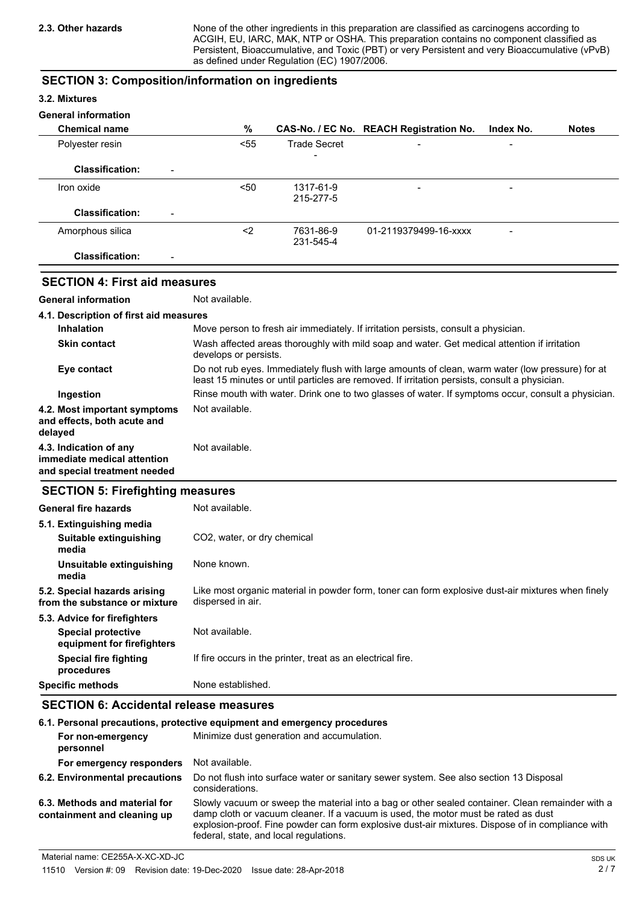None of the other ingredients in this preparation are classified as carcinogens according to ACGIH, EU, IARC, MAK, NTP or OSHA. This preparation contains no component classified as Persistent, Bioaccumulative, and Toxic (PBT) or very Persistent and very Bioaccumulative (vPvB) as defined under Regulation (EC) 1907/2006.

## **SECTION 3: Composition/information on ingredients**

## **3.2. Mixtures**

## **General information**

| <b>Chemical name</b>                               | %    |                        | CAS-No. / EC No. REACH Registration No. | Index No. | <b>Notes</b> |
|----------------------------------------------------|------|------------------------|-----------------------------------------|-----------|--------------|
| Polyester resin                                    | < 55 | <b>Trade Secret</b>    | $\overline{\phantom{0}}$                | -         |              |
| <b>Classification:</b><br>$\overline{\phantom{0}}$ |      | $\,$                   |                                         |           |              |
| Iron oxide                                         | $50$ | 1317-61-9<br>215-277-5 | -                                       |           |              |
| <b>Classification:</b><br>$\overline{\phantom{a}}$ |      |                        |                                         |           |              |
| Amorphous silica                                   | <2   | 7631-86-9<br>231-545-4 | 01-2119379499-16-xxxx                   | -         |              |
| <b>Classification:</b><br>$\qquad \qquad$          |      |                        |                                         |           |              |

## **SECTION 4: First aid measures**

**General information** Not available.

| 4.1. Description of first aid measures                                                |                                                                                                                                                                                                   |
|---------------------------------------------------------------------------------------|---------------------------------------------------------------------------------------------------------------------------------------------------------------------------------------------------|
| <b>Inhalation</b>                                                                     | Move person to fresh air immediately. If irritation persists, consult a physician.                                                                                                                |
| <b>Skin contact</b>                                                                   | Wash affected areas thoroughly with mild soap and water. Get medical attention if irritation<br>develops or persists.                                                                             |
| Eye contact                                                                           | Do not rub eyes. Immediately flush with large amounts of clean, warm water (low pressure) for at<br>least 15 minutes or until particles are removed. If irritation persists, consult a physician. |
| Ingestion                                                                             | Rinse mouth with water. Drink one to two glasses of water. If symptoms occur, consult a physician.                                                                                                |
| 4.2. Most important symptoms<br>and effects, both acute and<br>delayed                | Not available.                                                                                                                                                                                    |
| 4.3. Indication of any<br>immediate medical attention<br>and special treatment needed | Not available.                                                                                                                                                                                    |

## **SECTION 5: Firefighting measures**

| General fire hazards                                          | Not available.                                                                                                         |
|---------------------------------------------------------------|------------------------------------------------------------------------------------------------------------------------|
| 5.1. Extinguishing media                                      |                                                                                                                        |
| Suitable extinguishing<br>media                               | CO <sub>2</sub> , water, or dry chemical                                                                               |
| Unsuitable extinguishing<br>media                             | None known.                                                                                                            |
| 5.2. Special hazards arising<br>from the substance or mixture | Like most organic material in powder form, toner can form explosive dust-air mixtures when finely<br>dispersed in air. |
| 5.3. Advice for firefighters                                  |                                                                                                                        |
| <b>Special protective</b><br>equipment for firefighters       | Not available.                                                                                                         |
| Special fire fighting<br>procedures                           | If fire occurs in the printer, treat as an electrical fire.                                                            |
| Specific methods                                              | None established.                                                                                                      |

## **SECTION 6: Accidental release measures**

| 6.1. Personal precautions, protective equipment and emergency procedures |                                                                                                                                                                                                                                                                                                                                      |  |  |
|--------------------------------------------------------------------------|--------------------------------------------------------------------------------------------------------------------------------------------------------------------------------------------------------------------------------------------------------------------------------------------------------------------------------------|--|--|
| For non-emergency<br>personnel                                           | Minimize dust generation and accumulation.                                                                                                                                                                                                                                                                                           |  |  |
| For emergency responders                                                 | Not available.                                                                                                                                                                                                                                                                                                                       |  |  |
| 6.2. Environmental precautions                                           | Do not flush into surface water or sanitary sewer system. See also section 13 Disposal<br>considerations.                                                                                                                                                                                                                            |  |  |
| 6.3. Methods and material for<br>containment and cleaning up             | Slowly vacuum or sweep the material into a bag or other sealed container. Clean remainder with a<br>damp cloth or vacuum cleaner. If a vacuum is used, the motor must be rated as dust<br>explosion-proof. Fine powder can form explosive dust-air mixtures. Dispose of in compliance with<br>federal, state, and local regulations. |  |  |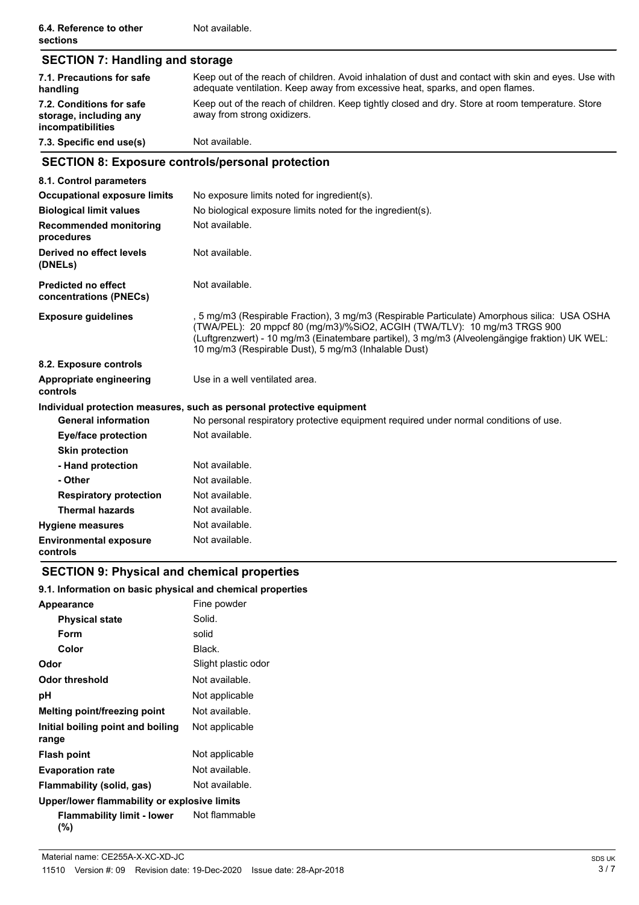| <b>SECTION 7: Handling and storage</b>                                  |                                                                                                                                                                                                                                                                                                                                    |  |
|-------------------------------------------------------------------------|------------------------------------------------------------------------------------------------------------------------------------------------------------------------------------------------------------------------------------------------------------------------------------------------------------------------------------|--|
| 7.1. Precautions for safe<br>handling                                   | Keep out of the reach of children. Avoid inhalation of dust and contact with skin and eyes. Use with<br>adequate ventilation. Keep away from excessive heat, sparks, and open flames.                                                                                                                                              |  |
| 7.2. Conditions for safe<br>storage, including any<br>incompatibilities | Keep out of the reach of children. Keep tightly closed and dry. Store at room temperature. Store<br>away from strong oxidizers.                                                                                                                                                                                                    |  |
| 7.3. Specific end use(s)                                                | Not available.                                                                                                                                                                                                                                                                                                                     |  |
|                                                                         | <b>SECTION 8: Exposure controls/personal protection</b>                                                                                                                                                                                                                                                                            |  |
| 8.1. Control parameters                                                 |                                                                                                                                                                                                                                                                                                                                    |  |
| <b>Occupational exposure limits</b>                                     | No exposure limits noted for ingredient(s).                                                                                                                                                                                                                                                                                        |  |
| <b>Biological limit values</b>                                          | No biological exposure limits noted for the ingredient(s).                                                                                                                                                                                                                                                                         |  |
| <b>Recommended monitoring</b><br>procedures                             | Not available.                                                                                                                                                                                                                                                                                                                     |  |
| Derived no effect levels<br>(DNELs)                                     | Not available.                                                                                                                                                                                                                                                                                                                     |  |
| <b>Predicted no effect</b><br>concentrations (PNECs)                    | Not available.                                                                                                                                                                                                                                                                                                                     |  |
| <b>Exposure guidelines</b>                                              | , 5 mg/m3 (Respirable Fraction), 3 mg/m3 (Respirable Particulate) Amorphous silica:  USA OSHA<br>(TWA/PEL): 20 mppcf 80 (mg/m3)/%SiO2, ACGIH (TWA/TLV): 10 mg/m3 TRGS 900<br>(Luftgrenzwert) - 10 mg/m3 (Einatembare partikel), 3 mg/m3 (Alveolengängige fraktion) UK WEL:<br>10 mg/m3 (Respirable Dust), 5 mg/m3 (Inhalable Dust) |  |
| 8.2. Exposure controls                                                  |                                                                                                                                                                                                                                                                                                                                    |  |
| <b>Appropriate engineering</b><br>controls                              | Use in a well ventilated area.                                                                                                                                                                                                                                                                                                     |  |
|                                                                         | Individual protection measures, such as personal protective equipment                                                                                                                                                                                                                                                              |  |
| <b>General information</b>                                              | No personal respiratory protective equipment required under normal conditions of use.                                                                                                                                                                                                                                              |  |
| <b>Eye/face protection</b>                                              | Not available.                                                                                                                                                                                                                                                                                                                     |  |
| <b>Skin protection</b>                                                  |                                                                                                                                                                                                                                                                                                                                    |  |
| - Hand protection                                                       | Not available.                                                                                                                                                                                                                                                                                                                     |  |
| - Other                                                                 | Not available.                                                                                                                                                                                                                                                                                                                     |  |
| <b>Respiratory protection</b>                                           | Not available.                                                                                                                                                                                                                                                                                                                     |  |
| <b>Thermal hazards</b>                                                  | Not available.                                                                                                                                                                                                                                                                                                                     |  |
| <b>Hygiene measures</b>                                                 | Not available.                                                                                                                                                                                                                                                                                                                     |  |
| <b>Environmental exposure</b><br>controls                               | Not available.                                                                                                                                                                                                                                                                                                                     |  |

## **SECTION 9: Physical and chemical properties**

## **9.1. Information on basic physical and chemical properties**

| <b>Appearance</b>                            | Fine powder         |  |
|----------------------------------------------|---------------------|--|
| <b>Physical state</b>                        | Solid.              |  |
| Form                                         | solid               |  |
| Color                                        | Black.              |  |
| Odor                                         | Slight plastic odor |  |
| Odor threshold                               | Not available.      |  |
| рH                                           | Not applicable      |  |
| Melting point/freezing point                 | Not available.      |  |
| Initial boiling point and boiling<br>range   | Not applicable      |  |
| <b>Flash point</b>                           | Not applicable      |  |
| <b>Evaporation rate</b>                      | Not available.      |  |
| Flammability (solid, gas)                    | Not available.      |  |
| Upper/lower flammability or explosive limits |                     |  |
| Flammability limit - lower<br>(%)            | Not flammable       |  |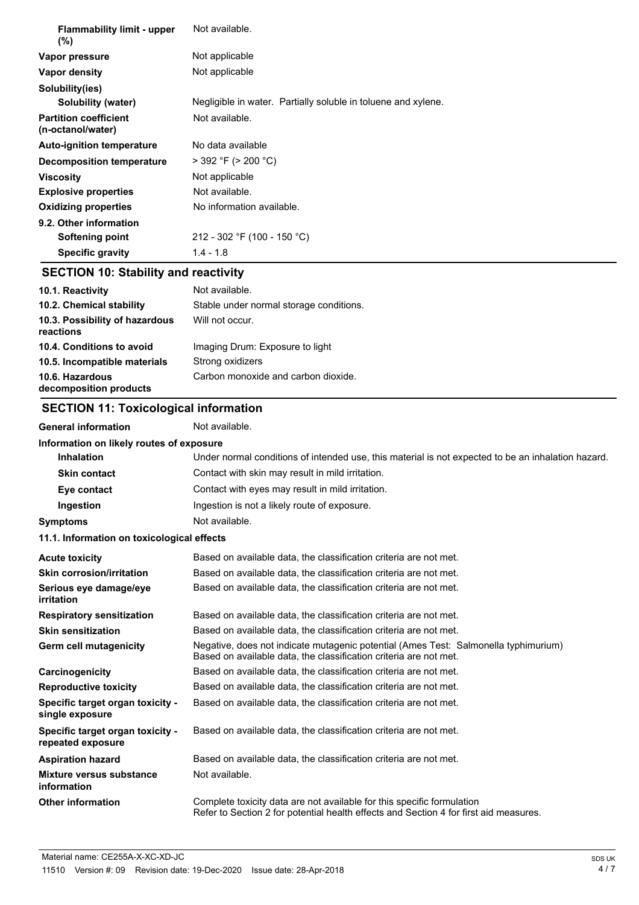| <b>Flammability limit - upper</b><br>$(\%)$       | Not available.                                                |  |
|---------------------------------------------------|---------------------------------------------------------------|--|
| Vapor pressure                                    | Not applicable                                                |  |
| Vapor density                                     | Not applicable                                                |  |
| Solubility(ies)                                   |                                                               |  |
| Solubility (water)                                | Negligible in water. Partially soluble in toluene and xylene. |  |
| <b>Partition coefficient</b><br>(n-octanol/water) | Not available.                                                |  |
| <b>Auto-ignition temperature</b>                  | No data available                                             |  |
| Decomposition temperature                         | $>$ 392 °F ( $>$ 200 °C)                                      |  |
| <b>Viscosity</b>                                  | Not applicable                                                |  |
| <b>Explosive properties</b>                       | Not available.                                                |  |
| <b>Oxidizing properties</b>                       | No information available.                                     |  |
| 9.2. Other information                            |                                                               |  |
| <b>Softening point</b>                            | 212 - 302 °F (100 - 150 °C)                                   |  |
| <b>Specific gravity</b>                           | $1.4 - 1.8$                                                   |  |
| <b>SECTION 10: Stability and reactivity</b>       |                                                               |  |

| SECTION 10: Stability and reactivity |  |
|--------------------------------------|--|
|--------------------------------------|--|

| 10.1. Reactivity                            | Not available.                          |
|---------------------------------------------|-----------------------------------------|
| 10.2. Chemical stability                    | Stable under normal storage conditions. |
| 10.3. Possibility of hazardous<br>reactions | Will not occur.                         |
| 10.4. Conditions to avoid                   | Imaging Drum: Exposure to light         |
| 10.5. Incompatible materials                | Strong oxidizers                        |
| 10.6. Hazardous<br>decomposition products   | Carbon monoxide and carbon dioxide.     |

## **SECTION 11: Toxicological information**

General information **Not** available.

| Information on likely routes of exposure              |                                                                                                                                                                 |
|-------------------------------------------------------|-----------------------------------------------------------------------------------------------------------------------------------------------------------------|
| <b>Inhalation</b>                                     | Under normal conditions of intended use, this material is not expected to be an inhalation hazard.                                                              |
| <b>Skin contact</b>                                   | Contact with skin may result in mild irritation.                                                                                                                |
| Eye contact                                           | Contact with eyes may result in mild irritation.                                                                                                                |
| Ingestion                                             | Ingestion is not a likely route of exposure.                                                                                                                    |
| <b>Symptoms</b>                                       | Not available.                                                                                                                                                  |
| 11.1. Information on toxicological effects            |                                                                                                                                                                 |
| <b>Acute toxicity</b>                                 | Based on available data, the classification criteria are not met.                                                                                               |
| <b>Skin corrosion/irritation</b>                      | Based on available data, the classification criteria are not met.                                                                                               |
| Serious eye damage/eye<br>irritation                  | Based on available data, the classification criteria are not met.                                                                                               |
| <b>Respiratory sensitization</b>                      | Based on available data, the classification criteria are not met.                                                                                               |
| <b>Skin sensitization</b>                             | Based on available data, the classification criteria are not met.                                                                                               |
| Germ cell mutagenicity                                | Negative, does not indicate mutagenic potential (Ames Test: Salmonella typhimurium)<br>Based on available data, the classification criteria are not met.        |
| Carcinogenicity                                       | Based on available data, the classification criteria are not met.                                                                                               |
| <b>Reproductive toxicity</b>                          | Based on available data, the classification criteria are not met.                                                                                               |
| Specific target organ toxicity -<br>single exposure   | Based on available data, the classification criteria are not met.                                                                                               |
| Specific target organ toxicity -<br>repeated exposure | Based on available data, the classification criteria are not met.                                                                                               |
| <b>Aspiration hazard</b>                              | Based on available data, the classification criteria are not met.                                                                                               |
| Mixture versus substance<br>information               | Not available.                                                                                                                                                  |
| <b>Other information</b>                              | Complete toxicity data are not available for this specific formulation<br>Refer to Section 2 for potential health effects and Section 4 for first aid measures. |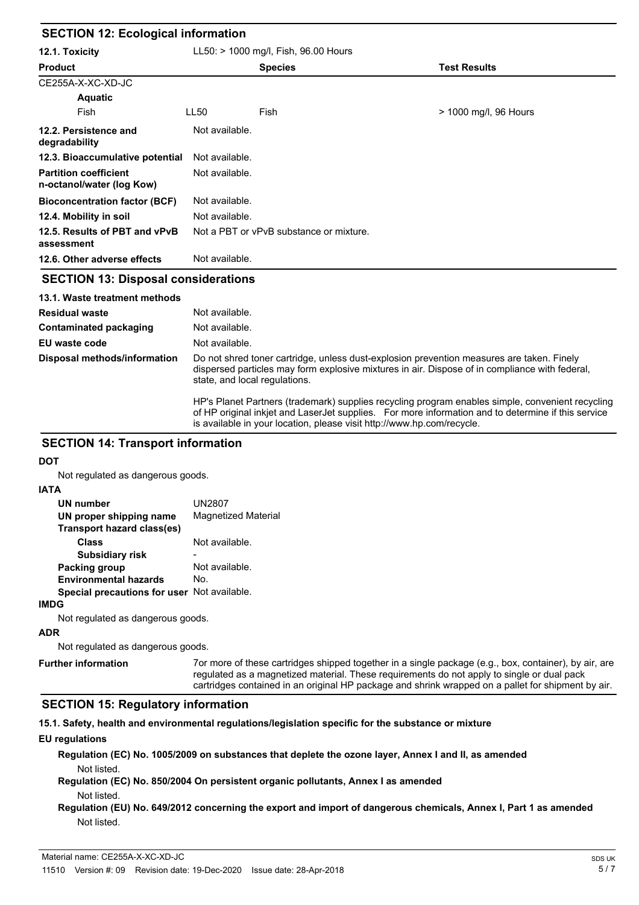| <b>SECTION 12: Ecological information</b>                 |                                         |                |                       |
|-----------------------------------------------------------|-----------------------------------------|----------------|-----------------------|
| 12.1. Toxicity                                            | LL50: > 1000 mg/l, Fish, 96.00 Hours    |                |                       |
| <b>Product</b>                                            |                                         | <b>Species</b> | <b>Test Results</b>   |
| CE255A-X-XC-XD-JC                                         |                                         |                |                       |
| Aquatic                                                   |                                         |                |                       |
| <b>Fish</b>                                               | LL50                                    | Fish           | > 1000 mg/l, 96 Hours |
| 12.2. Persistence and<br>degradability                    | Not available.                          |                |                       |
| 12.3. Bioaccumulative potential                           | Not available.                          |                |                       |
| <b>Partition coefficient</b><br>n-octanol/water (log Kow) | Not available.                          |                |                       |
| <b>Bioconcentration factor (BCF)</b>                      | Not available.                          |                |                       |
| 12.4. Mobility in soil                                    | Not available.                          |                |                       |
| 12.5. Results of PBT and vPvB<br>assessment               | Not a PBT or vPvB substance or mixture. |                |                       |
| 12.6. Other adverse effects                               | Not available.                          |                |                       |
| <b>CECTION 42: Disposal considerations</b>                |                                         |                |                       |

## **SECTION 13: Disposal considerations**

## **13.1. Waste treatment methods Residual waste** Not available. **Contaminated packaging** Not available. **EU** waste code Not available. Do not shred toner cartridge, unless dust-explosion prevention measures are taken. Finely dispersed particles may form explosive mixtures in air. Dispose of in compliance with federal, state, and local regulations. HP's Planet Partners (trademark) supplies recycling program enables simple, convenient recycling of HP original inkjet and LaserJet supplies. For more information and to determine if this service **Disposal methods/information**

## is available in your location, please visit http://www.hp.com/recycle. **SECTION 14: Transport information**

**DOT**

Not regulated as dangerous goods.

## **IATA**

| UN number<br>UN proper shipping name<br>Transport hazard class(es) | UN2807<br><b>Magnetized Material</b> |
|--------------------------------------------------------------------|--------------------------------------|
| Class                                                              | Not available.                       |
| <b>Subsidiary risk</b>                                             |                                      |
| <b>Packing group</b>                                               | Not available.                       |
| <b>Environmental hazards</b>                                       | No.                                  |
| Special precautions for user Not available.                        |                                      |
|                                                                    |                                      |

## Not regulated as dangerous goods.

**ADR**

Not regulated as dangerous goods.

**Further information**

7or more of these cartridges shipped together in a single package (e.g., box, container), by air, are regulated as a magnetized material. These requirements do not apply to single or dual pack cartridges contained in an original HP package and shrink wrapped on a pallet for shipment by air.

## **SECTION 15: Regulatory information**

**15.1. Safety, health and environmental regulations/legislation specific for the substance or mixture**

## **EU regulations**

**Regulation (EC) No. 1005/2009 on substances that deplete the ozone layer, Annex I and II, as amended** Not listed.

- **Regulation (EC) No. 850/2004 On persistent organic pollutants, Annex I as amended** Not listed.
- **Regulation (EU) No. 649/2012 concerning the export and import of dangerous chemicals, Annex I, Part 1 as amended** Not listed.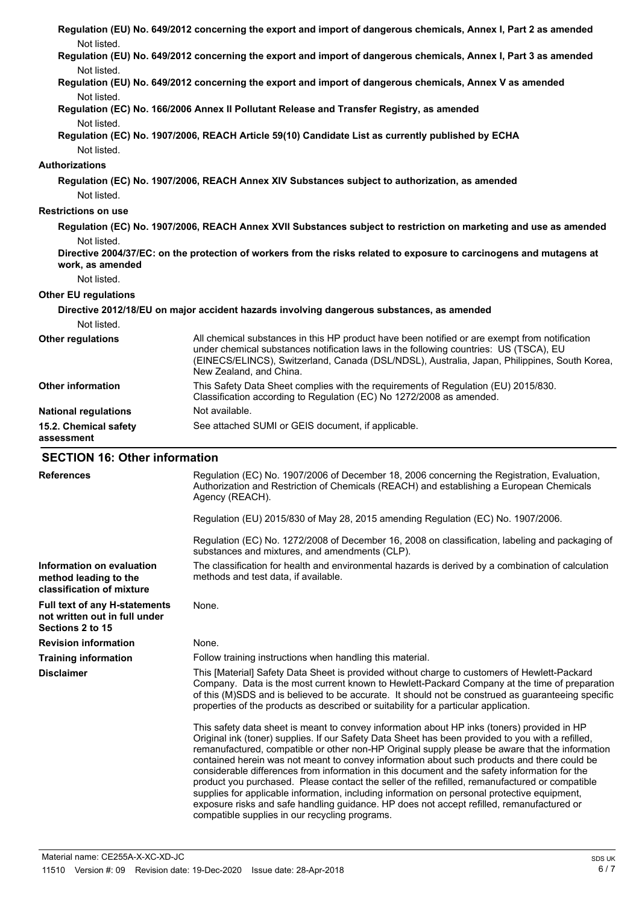| Not listed.                                                                               | Regulation (EU) No. 649/2012 concerning the export and import of dangerous chemicals, Annex I, Part 2 as amended                                                                                                                                                                                                                                                                                                                                                                                                                                                                                                                                                                                                                                                                                                                                     |  |  |
|-------------------------------------------------------------------------------------------|------------------------------------------------------------------------------------------------------------------------------------------------------------------------------------------------------------------------------------------------------------------------------------------------------------------------------------------------------------------------------------------------------------------------------------------------------------------------------------------------------------------------------------------------------------------------------------------------------------------------------------------------------------------------------------------------------------------------------------------------------------------------------------------------------------------------------------------------------|--|--|
| Not listed.                                                                               | Regulation (EU) No. 649/2012 concerning the export and import of dangerous chemicals, Annex I, Part 3 as amended                                                                                                                                                                                                                                                                                                                                                                                                                                                                                                                                                                                                                                                                                                                                     |  |  |
|                                                                                           | Regulation (EU) No. 649/2012 concerning the export and import of dangerous chemicals, Annex V as amended                                                                                                                                                                                                                                                                                                                                                                                                                                                                                                                                                                                                                                                                                                                                             |  |  |
| Not listed.                                                                               | Regulation (EC) No. 166/2006 Annex II Pollutant Release and Transfer Registry, as amended                                                                                                                                                                                                                                                                                                                                                                                                                                                                                                                                                                                                                                                                                                                                                            |  |  |
| Not listed.<br>Not listed.                                                                | Regulation (EC) No. 1907/2006, REACH Article 59(10) Candidate List as currently published by ECHA                                                                                                                                                                                                                                                                                                                                                                                                                                                                                                                                                                                                                                                                                                                                                    |  |  |
| <b>Authorizations</b>                                                                     |                                                                                                                                                                                                                                                                                                                                                                                                                                                                                                                                                                                                                                                                                                                                                                                                                                                      |  |  |
|                                                                                           | Regulation (EC) No. 1907/2006, REACH Annex XIV Substances subject to authorization, as amended                                                                                                                                                                                                                                                                                                                                                                                                                                                                                                                                                                                                                                                                                                                                                       |  |  |
| Not listed.                                                                               |                                                                                                                                                                                                                                                                                                                                                                                                                                                                                                                                                                                                                                                                                                                                                                                                                                                      |  |  |
| <b>Restrictions on use</b>                                                                |                                                                                                                                                                                                                                                                                                                                                                                                                                                                                                                                                                                                                                                                                                                                                                                                                                                      |  |  |
|                                                                                           | Regulation (EC) No. 1907/2006, REACH Annex XVII Substances subject to restriction on marketing and use as amended                                                                                                                                                                                                                                                                                                                                                                                                                                                                                                                                                                                                                                                                                                                                    |  |  |
| Not listed.<br>work, as amended                                                           | Directive 2004/37/EC: on the protection of workers from the risks related to exposure to carcinogens and mutagens at                                                                                                                                                                                                                                                                                                                                                                                                                                                                                                                                                                                                                                                                                                                                 |  |  |
| Not listed.                                                                               |                                                                                                                                                                                                                                                                                                                                                                                                                                                                                                                                                                                                                                                                                                                                                                                                                                                      |  |  |
| <b>Other EU regulations</b>                                                               |                                                                                                                                                                                                                                                                                                                                                                                                                                                                                                                                                                                                                                                                                                                                                                                                                                                      |  |  |
|                                                                                           | Directive 2012/18/EU on major accident hazards involving dangerous substances, as amended                                                                                                                                                                                                                                                                                                                                                                                                                                                                                                                                                                                                                                                                                                                                                            |  |  |
| Not listed.                                                                               |                                                                                                                                                                                                                                                                                                                                                                                                                                                                                                                                                                                                                                                                                                                                                                                                                                                      |  |  |
| <b>Other regulations</b>                                                                  | All chemical substances in this HP product have been notified or are exempt from notification<br>under chemical substances notification laws in the following countries: US (TSCA), EU<br>(EINECS/ELINCS), Switzerland, Canada (DSL/NDSL), Australia, Japan, Philippines, South Korea,<br>New Zealand, and China.                                                                                                                                                                                                                                                                                                                                                                                                                                                                                                                                    |  |  |
| <b>Other information</b>                                                                  | This Safety Data Sheet complies with the requirements of Regulation (EU) 2015/830.<br>Classification according to Regulation (EC) No 1272/2008 as amended.                                                                                                                                                                                                                                                                                                                                                                                                                                                                                                                                                                                                                                                                                           |  |  |
| <b>National regulations</b>                                                               | Not available.                                                                                                                                                                                                                                                                                                                                                                                                                                                                                                                                                                                                                                                                                                                                                                                                                                       |  |  |
| 15.2. Chemical safety<br>assessment                                                       | See attached SUMI or GEIS document, if applicable.                                                                                                                                                                                                                                                                                                                                                                                                                                                                                                                                                                                                                                                                                                                                                                                                   |  |  |
| <b>SECTION 16: Other information</b>                                                      |                                                                                                                                                                                                                                                                                                                                                                                                                                                                                                                                                                                                                                                                                                                                                                                                                                                      |  |  |
| <b>References</b>                                                                         | Regulation (EC) No. 1907/2006 of December 18, 2006 concerning the Registration, Evaluation,<br>Authorization and Restriction of Chemicals (REACH) and establishing a European Chemicals<br>Agency (REACH).                                                                                                                                                                                                                                                                                                                                                                                                                                                                                                                                                                                                                                           |  |  |
|                                                                                           | Regulation (EU) 2015/830 of May 28, 2015 amending Regulation (EC) No. 1907/2006.                                                                                                                                                                                                                                                                                                                                                                                                                                                                                                                                                                                                                                                                                                                                                                     |  |  |
|                                                                                           | Regulation (EC) No. 1272/2008 of December 16, 2008 on classification, labeling and packaging of<br>substances and mixtures, and amendments (CLP).                                                                                                                                                                                                                                                                                                                                                                                                                                                                                                                                                                                                                                                                                                    |  |  |
| Information on evaluation<br>method leading to the<br>classification of mixture           | The classification for health and environmental hazards is derived by a combination of calculation<br>methods and test data, if available.                                                                                                                                                                                                                                                                                                                                                                                                                                                                                                                                                                                                                                                                                                           |  |  |
| <b>Full text of any H-statements</b><br>not written out in full under<br>Sections 2 to 15 | None.                                                                                                                                                                                                                                                                                                                                                                                                                                                                                                                                                                                                                                                                                                                                                                                                                                                |  |  |
| <b>Revision information</b>                                                               | None.                                                                                                                                                                                                                                                                                                                                                                                                                                                                                                                                                                                                                                                                                                                                                                                                                                                |  |  |
| <b>Training information</b>                                                               | Follow training instructions when handling this material.                                                                                                                                                                                                                                                                                                                                                                                                                                                                                                                                                                                                                                                                                                                                                                                            |  |  |
| <b>Disclaimer</b>                                                                         | This [Material] Safety Data Sheet is provided without charge to customers of Hewlett-Packard<br>Company. Data is the most current known to Hewlett-Packard Company at the time of preparation<br>of this (M)SDS and is believed to be accurate. It should not be construed as guaranteeing specific<br>properties of the products as described or suitability for a particular application.                                                                                                                                                                                                                                                                                                                                                                                                                                                          |  |  |
|                                                                                           | This safety data sheet is meant to convey information about HP inks (toners) provided in HP<br>Original ink (toner) supplies. If our Safety Data Sheet has been provided to you with a refilled,<br>remanufactured, compatible or other non-HP Original supply please be aware that the information<br>contained herein was not meant to convey information about such products and there could be<br>considerable differences from information in this document and the safety information for the<br>product you purchased. Please contact the seller of the refilled, remanufactured or compatible<br>supplies for applicable information, including information on personal protective equipment,<br>exposure risks and safe handling guidance. HP does not accept refilled, remanufactured or<br>compatible supplies in our recycling programs. |  |  |